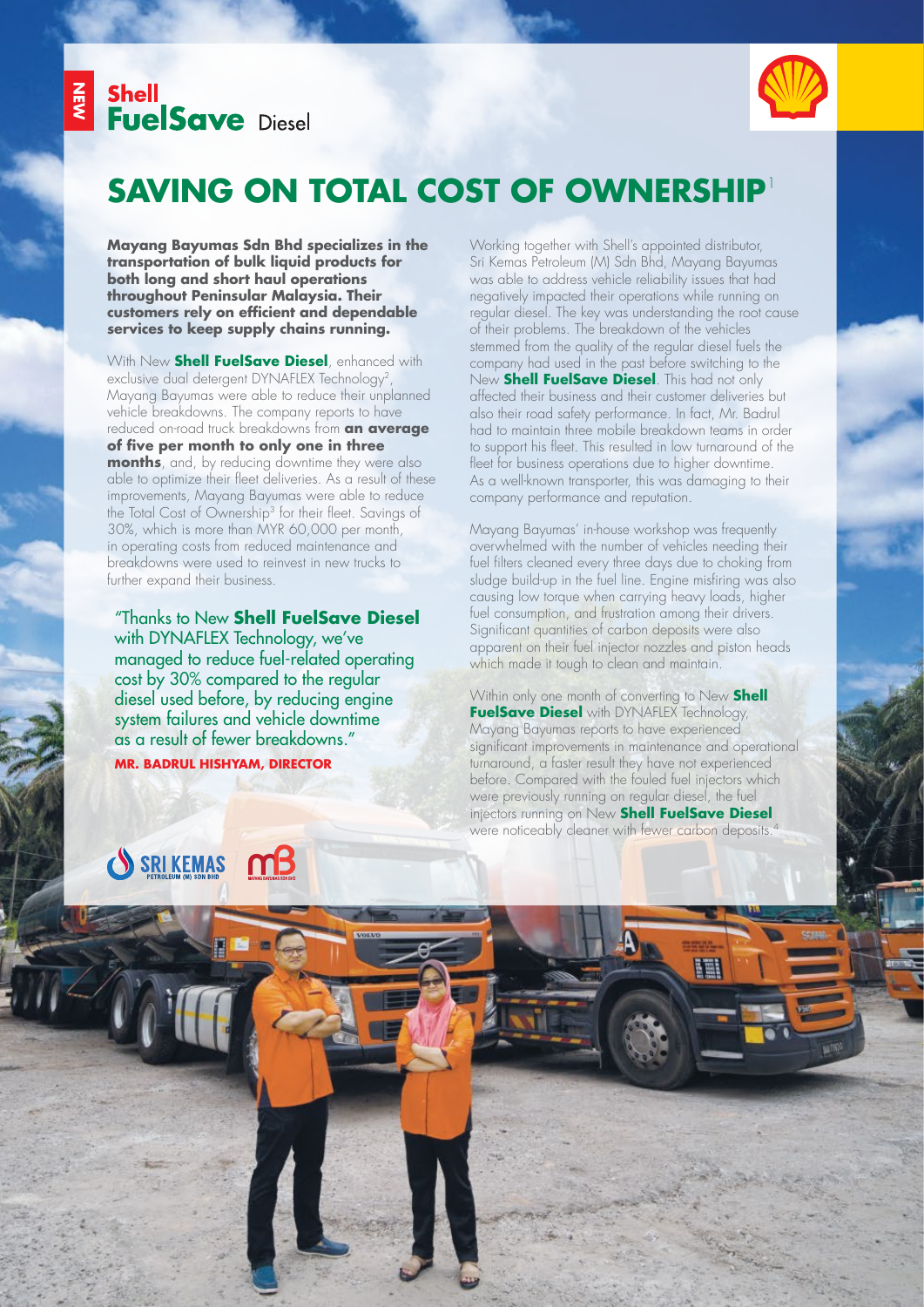



### **SAVING ON TOTAL COST OF OWNERS** 1

**Mayang Bayumas Sdn Bhd specializes in the transportation of bulk liquid products for both long and short haul operations throughout Peninsular Malaysia. Their customers rely on efficient and dependable services to keep supply chains running.** 

With New **Shell FuelSave Diesel**, enhanced with exclusive dual detergent DYNAFLEX Technology<sup>2</sup> Mayang Bayumas were able to reduce their unplanned vehicle breakdowns. The company reports to have reduced on-road truck breakdowns from **an average of five per month to only one in three months**, and, by reducing downtime they were also able to optimize their fleet deliveries. As a result of these improvements, Mayang Bayumas were able to reduce the Total Cost of Ownership<sup>3</sup> for their fleet. Savings of 30%, which is more than MYR 60,000 per month, in operating costs from reduced maintenance and breakdowns were used to reinvest in new trucks to further expand their business.

"Thanks to New **Shell FuelSave Diesel**  with DYNAFLEX Technology, we've managed to reduce fuel-related operating cost by 30% compared to the regular diesel used before, by reducing engine system failures and vehicle downtime as a result of fewer breakdowns." **MR. BADRUL HISHYAM, DIRECTOR**

Working together with Shell's appointed distributor, Sri Kemas Petroleum (M) Sdn Bhd, Mayang Bayumas was able to address vehicle reliability issues that had negatively impacted their operations while running on regular diesel. The key was understanding the root cause of their problems. The breakdown of the vehicles stemmed from the quality of the regular diesel fuels the company had used in the past before switching to the New **Shell FuelSave Diesel**. This had not only affected their business and their customer deliveries but also their road safety performance. In fact, Mr. Badrul had to maintain three mobile breakdown teams in order to support his fleet. This resulted in low turnaround of the fleet for business operations due to higher downtime. As a well-known transporter, this was damaging to their company performance and reputation.

Mayang Bayumas' in-house workshop was frequently overwhelmed with the number of vehicles needing their fuel filters cleaned every three days due to choking from sludge build-up in the fuel line. Engine misfiring was also causing low torque when carrying heavy loads, higher fuel consumption, and frustration among their drivers. Significant quantities of carbon deposits were also apparent on their fuel injector nozzles and piston heads which made it tough to clean and maintain.

Within only one month of converting to New **Shell FuelSave Diesel** with DYNAFLEX Technology, Mayang Bayumas reports to have experienced significant improvements in maintenance and operational turnaround, a faster result they have not experienced before. Compared with the fouled fuel injectors which were previously running on regular diesel, the fuel injectors running on New **Shell FuelSave Diesel** were noticeably cleaner with fewer carbon deposits.<sup>4</sup>

EEN

# $m<sup>2</sup>$ SRIKEMAS